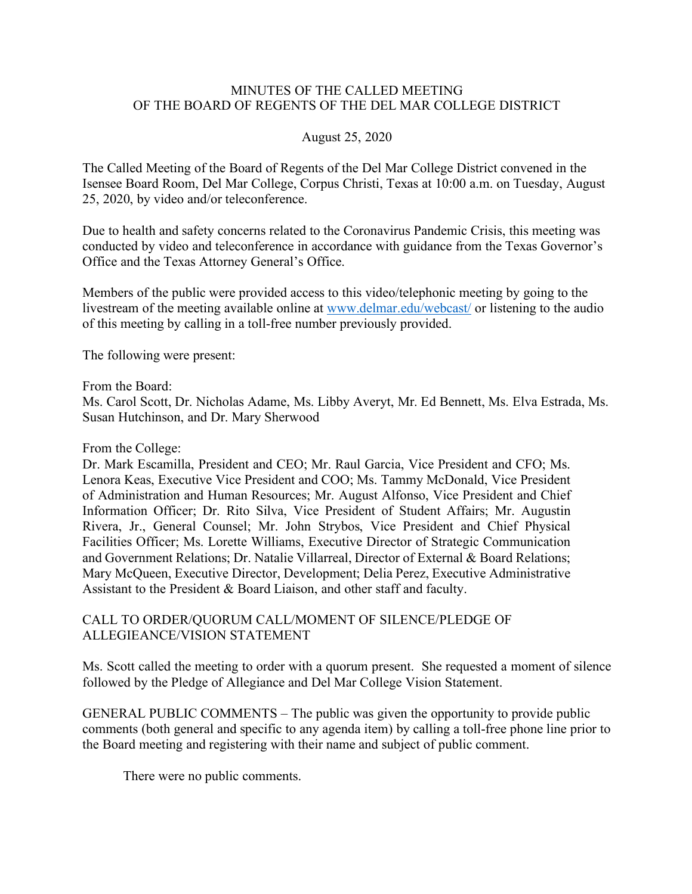## MINUTES OF THE CALLED MEETING OF THE BOARD OF REGENTS OF THE DEL MAR COLLEGE DISTRICT

## August 25, 2020

The Called Meeting of the Board of Regents of the Del Mar College District convened in the Isensee Board Room, Del Mar College, Corpus Christi, Texas at 10:00 a.m. on Tuesday, August 25, 2020, by video and/or teleconference.

Due to health and safety concerns related to the Coronavirus Pandemic Crisis, this meeting was conducted by video and teleconference in accordance with guidance from the Texas Governor's Office and the Texas Attorney General's Office.

Members of the public were provided access to this video/telephonic meeting by going to the livestream of the meeting available online at www.delmar.edu/webcast/ or listening to the audio of this meeting by calling in a toll-free number previously provided.

The following were present:

From the Board:

Ms. Carol Scott, Dr. Nicholas Adame, Ms. Libby Averyt, Mr. Ed Bennett, Ms. Elva Estrada, Ms. Susan Hutchinson, and Dr. Mary Sherwood

From the College:

Dr. Mark Escamilla, President and CEO; Mr. Raul Garcia, Vice President and CFO; Ms. Lenora Keas, Executive Vice President and COO; Ms. Tammy McDonald, Vice President of Administration and Human Resources; Mr. August Alfonso, Vice President and Chief Information Officer; Dr. Rito Silva, Vice President of Student Affairs; Mr. Augustin Rivera, Jr., General Counsel; Mr. John Strybos, Vice President and Chief Physical Facilities Officer; Ms. Lorette Williams, Executive Director of Strategic Communication and Government Relations; Dr. Natalie Villarreal, Director of External & Board Relations; Mary McQueen, Executive Director, Development; Delia Perez, Executive Administrative Assistant to the President & Board Liaison, and other staff and faculty.

CALL TO ORDER/QUORUM CALL/MOMENT OF SILENCE/PLEDGE OF ALLEGIEANCE/VISION STATEMENT

Ms. Scott called the meeting to order with a quorum present. She requested a moment of silence followed by the Pledge of Allegiance and Del Mar College Vision Statement.

GENERAL PUBLIC COMMENTS – The public was given the opportunity to provide public comments (both general and specific to any agenda item) by calling a toll-free phone line prior to the Board meeting and registering with their name and subject of public comment.

There were no public comments.